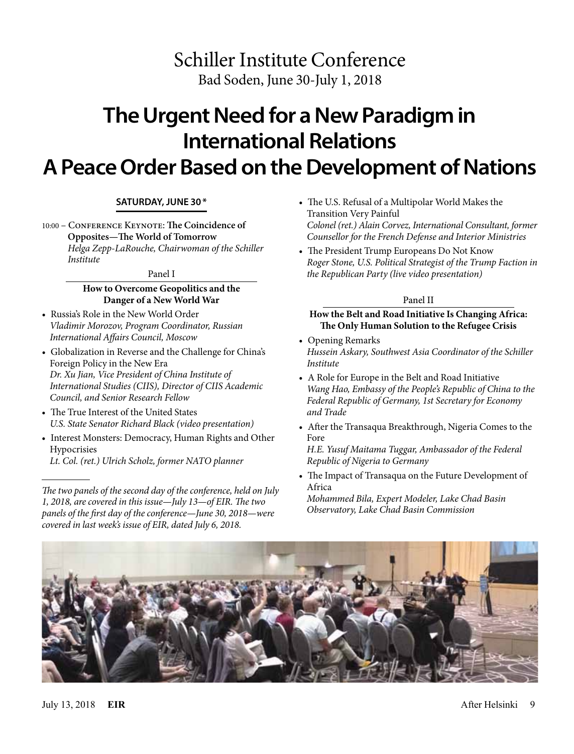# Schiller Institute Conference Bad Soden, June 30-July 1, 2018

# **The Urgent Need for a New Paradigm in International Relations A Peace Order Based on the Development of Nations**

# **SATURDAY, JUNE 30\***

10:00 – Conference Keynote: **The Coincidence of Opposites—The World of Tomorrow** *Helga Zepp-LaRouche, Chairwoman of the Schiller Institute*

#### Panel I

# **How to Overcome Geopolitics and the Danger of a New World War**

- Russia's Role in the New World Order *Vladimir Morozov, Program Coordinator, Russian International Affairs Council, Moscow*
- Globalization in Reverse and the Challenge for China's Foreign Policy in the New Era *Dr. Xu Jian, Vice President of China Institute of International Studies (CIIS), Director of CIIS Academic Council, and Senior Research Fellow*
- The True Interest of the United States *U.S. State Senator Richard Black (video presentation)*
- Interest Monsters: Democracy, Human Rights and Other Hypocrisies
- *Lt. Col. (ret.) Ulrich Scholz, former NATO planner*

*The two panels of the second day of the conference, held on July 1, 2018, are covered in this issue—July 13—of EIR. The two panels of the first day of the conference—June 30, 2018—were covered in last week's issue of EIR, dated July 6, 2018.*

- The U.S. Refusal of a Multipolar World Makes the Transition Very Painful *Colonel (ret.) Alain Corvez, International Consultant, former Counsellor for the French Defense and Interior Ministries*
- The President Trump Europeans Do Not Know *Roger Stone, U.S. Political Strategist of the Trump Faction in the Republican Party (live video presentation)*

## Panel II

# **How the Belt and Road Initiative Is Changing Africa: The Only Human Solution to the Refugee Crisis**

- Opening Remarks *Hussein Askary, Southwest Asia Coordinator of the Schiller Institute*
- A Role for Europe in the Belt and Road Initiative *Wang Hao, Embassy of the People's Republic of China to the Federal Republic of Germany, 1st Secretary for Economy and Trade*
- After the Transaqua Breakthrough, Nigeria Comes to the Fore

*H.E. Yusuf Maitama Tuggar, Ambassador of the Federal Republic of Nigeria to Germany*

• The Impact of Transaqua on the Future Development of Africa

*Mohammed Bila, Expert Modeler, Lake Chad Basin Observatory, Lake Chad Basin Commission*